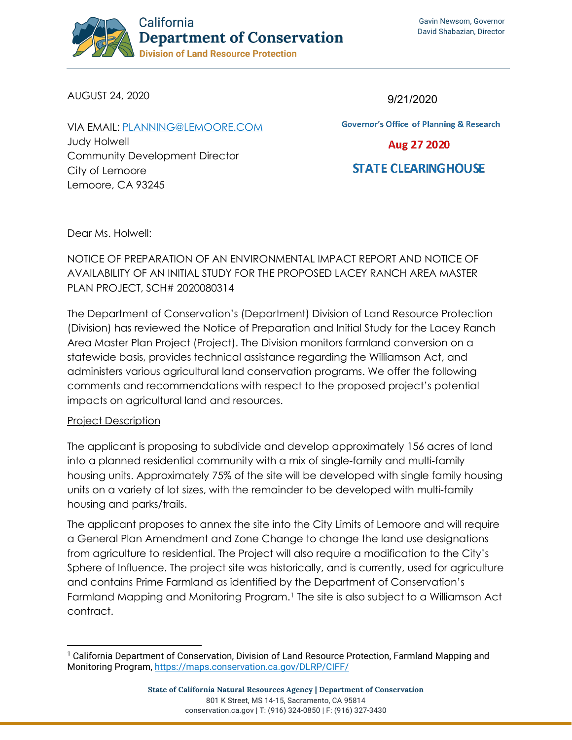

AUGUST 24, 2020

VIA EMAIL: [PLANNING@LEMOORE.COM](mailto:planning@lemoore.com) Judy Holwell Community Development Director City of Lemoore Lemoore, CA 93245

9/21/2020

**Governor's Office of Planning & Research** 

Aug 27 2020

**STATE CLEARINGHOUSE** 

Dear Ms. Holwell:

# NOTICE OF PREPARATION OF AN ENVIRONMENTAL IMPACT REPORT AND NOTICE OF AVAILABILITY OF AN INITIAL STUDY FOR THE PROPOSED LACEY RANCH AREA MASTER PLAN PROJECT, SCH# 2020080314

The Department of Conservation's (Department) Division of Land Resource Protection (Division) has reviewed the Notice of Preparation and Initial Study for the Lacey Ranch Area Master Plan Project (Project). The Division monitors farmland conversion on a statewide basis, provides technical assistance regarding the Williamson Act, and administers various agricultural land conservation programs. We offer the following comments and recommendations with respect to the proposed project's potential impacts on agricultural land and resources.

## Project Description

The applicant is proposing to subdivide and develop approximately 156 acres of land into a planned residential community with a mix of single-family and multi-family housing units. Approximately 75% of the site will be developed with single family housing units on a variety of lot sizes, with the remainder to be developed with multi-family housing and parks/trails.

The applicant proposes to annex the site into the City Limits of Lemoore and will require a General Plan Amendment and Zone Change to change the land use designations from agriculture to residential. The Project will also require a modification to the City's Sphere of Influence. The project site was historically, and is currently, used for agriculture and contains Prime Farmland as identified by the Department of Conservation's Farmland Mapping and Monitoring Program.<sup>[1](#page-0-0)</sup> The site is also subject to a Williamson Act contract.

<span id="page-0-0"></span><sup>1</sup> California Department of Conservation, Division of Land Resource Protection, Farmland Mapping and Monitoring Program,<https://maps.conservation.ca.gov/DLRP/CIFF/>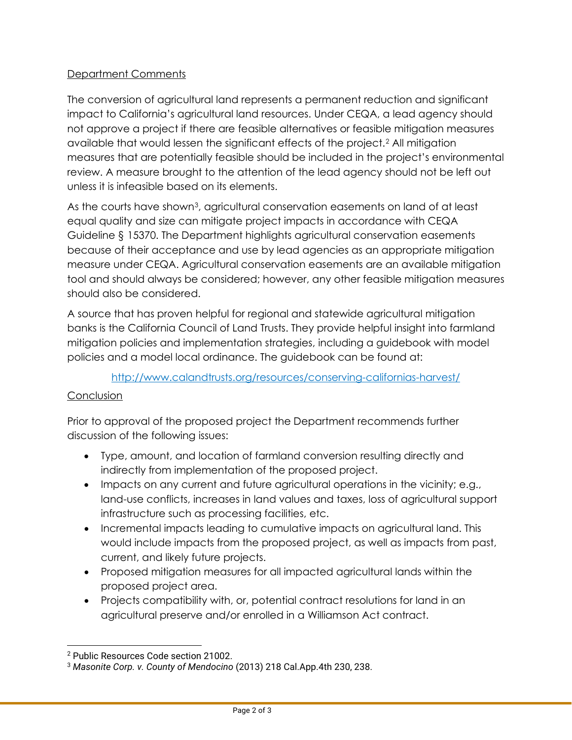## Department Comments

The conversion of agricultural land represents a permanent reduction and significant impact to California's agricultural land resources. Under CEQA, a lead agency should not approve a project if there are feasible alternatives or feasible mitigation measures available that would lessen the significant effects of the project.[2](#page-1-0) All mitigation measures that are potentially feasible should be included in the project's environmental review. A measure brought to the attention of the lead agency should not be left out unless it is infeasible based on its elements.

As the courts have show[n3](#page-1-1), agricultural conservation easements on land of at least equal quality and size can mitigate project impacts in accordance with CEQA Guideline § 15370. The Department highlights agricultural conservation easements because of their acceptance and use by lead agencies as an appropriate mitigation measure under CEQA. Agricultural conservation easements are an available mitigation tool and should always be considered; however, any other feasible mitigation measures should also be considered.

A source that has proven helpful for regional and statewide agricultural mitigation banks is the California Council of Land Trusts. They provide helpful insight into farmland mitigation policies and implementation strategies, including a guidebook with model policies and a model local ordinance. The guidebook can be found at:

## <http://www.calandtrusts.org/resources/conserving-californias-harvest/>

## **Conclusion**

Prior to approval of the proposed project the Department recommends further discussion of the following issues:

- Type, amount, and location of farmland conversion resulting directly and indirectly from implementation of the proposed project.
- Impacts on any current and future agricultural operations in the vicinity; e.g., land-use conflicts, increases in land values and taxes, loss of agricultural support infrastructure such as processing facilities, etc.
- Incremental impacts leading to cumulative impacts on agricultural land. This would include impacts from the proposed project, as well as impacts from past, current, and likely future projects.
- Proposed mitigation measures for all impacted agricultural lands within the proposed project area.
- Projects compatibility with, or, potential contract resolutions for land in an agricultural preserve and/or enrolled in a Williamson Act contract.

<span id="page-1-0"></span><sup>2</sup> Public Resources Code section 21002.

<span id="page-1-1"></span><sup>3</sup> *Masonite Corp. v. County of Mendocino* (2013) 218 Cal.App.4th 230, 238.